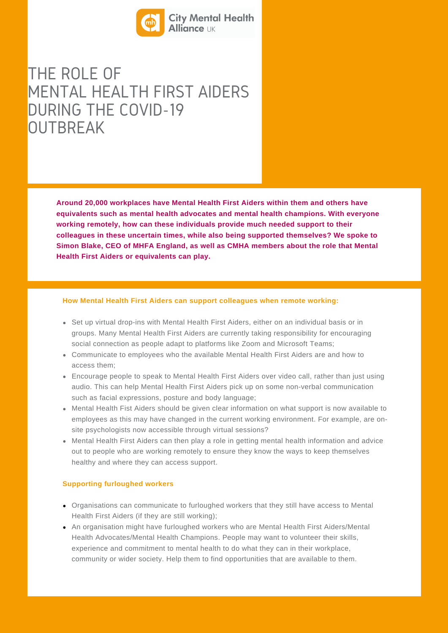

THE ROLE OF MENTAL HEALTH FIRST AIDERS DURING THE COVID-19 **OUTBREAK** 

> **Around 20,000 workplaces have Mental Health First Aiders within them and others have equivalents such as mental health advocates and mental health champions. With everyone working remotely, how can these individuals provide much needed support to their colleagues in these uncertain times, while also being supported themselves? We spoke to Simon Blake, CEO of MHFA England, as well as CMHA members about the role that Mental Health First Aiders or equivalents can play.**

#### **How Mental Health First Aiders can support colleagues when remote working:**

- Set up virtual drop-ins with Mental Health First Aiders, either on an individual basis or in groups. Many Mental Health First Aiders are currently taking responsibility for encouraging social connection as people adapt to platforms like Zoom and Microsoft Teams;
- Communicate to employees who the available Mental Health First Aiders are and how to access them;
- Encourage people to speak to Mental Health First Aiders over video call, rather than just using audio. This can help Mental Health First Aiders pick up on some non-verbal communication such as facial expressions, posture and body language;
- Mental Health Fist Aiders should be given clear information on what support is now available to employees as this may have changed in the current working environment. For example, are onsite psychologists now accessible through virtual sessions?
- Mental Health First Aiders can then play a role in getting mental health information and advice out to people who are working remotely to ensure they know the ways to keep themselves healthy and where they can access support.

#### **Supporting furloughed workers**

- Organisations can communicate to furloughed workers that they still have access to Mental Health First Aiders (if they are still working);
- An organisation might have furloughed workers who are Mental Health First Aiders/Mental Health Advocates/Mental Health Champions. People may want to volunteer their skills, experience and commitment to mental health to do what they can in their workplace, community or wider society. Help them to find opportunities that are available to them.